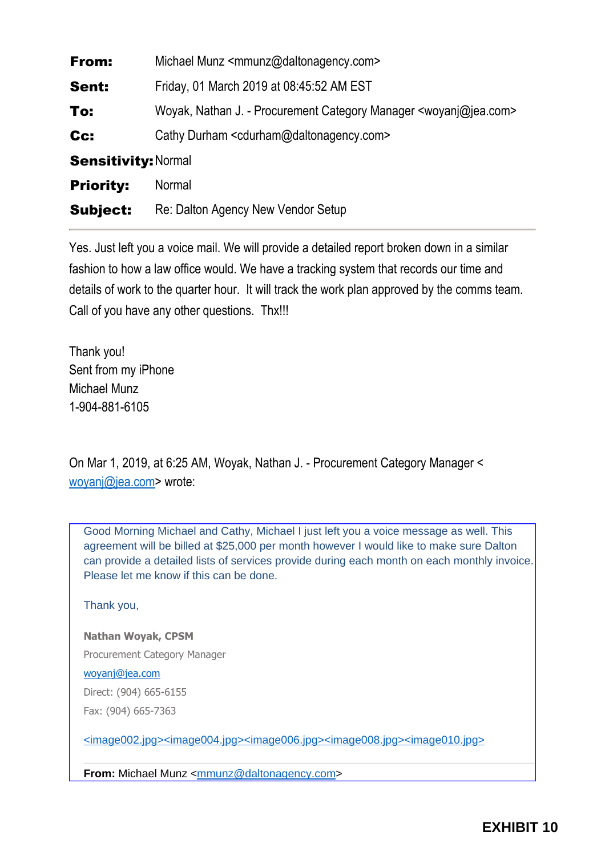| From:                      | Michael Munz <mmunz@daltonagency.com></mmunz@daltonagency.com>                    |
|----------------------------|-----------------------------------------------------------------------------------|
| Sent:                      | Friday, 01 March 2019 at 08:45:52 AM EST                                          |
| To:                        | Woyak, Nathan J. - Procurement Category Manager <woyanj@jea.com></woyanj@jea.com> |
| Cc:                        | Cathy Durham <cdurham@daltonagency.com></cdurham@daltonagency.com>                |
| <b>Sensitivity: Normal</b> |                                                                                   |
| <b>Priority:</b>           | Normal                                                                            |
| <b>Subject:</b>            | Re: Dalton Agency New Vendor Setup                                                |

Yes. Just left you a voice mail. We will provide a detailed report broken down in a similar fashion to how a law office would. We have a tracking system that records our time and details of work to the quarter hour. It will track the work plan approved by the comms team. Call of you have any other questions. Thx!!!

Thank you! Sent from my iPhone Michael Munz 1-904-881-6105

On Mar 1, 2019, at 6:25 AM, Woyak, Nathan J. - Procurement Category Manager < [woyanj@jea.com](mailto:woyanj@jea.com)> wrote:

Good Morning Michael and Cathy, Michael I just left you a voice message as well. This agreement will be billed at \$25,000 per month however I would like to make sure Dalton can provide a detailed lists of services provide during each month on each monthly invoice. Please let me know if this can be done.

Thank you,

**Nathan Woyak, CPSM**

Procurement Category Manager

[woyanj@jea.com](mailto:woyanj@jea.com)

Direct: (904) 665-6155

Fax: (904) 665-7363

[<image002.jpg>](https://www.linkedin.com/company/jea)[<image004.jpg>](https://twitter.com/NewsfromJEA)[<image006.jpg>](https://www.facebook.com/NewsfromJEA/)[<image008.jpg>](https://www.youtube.com/user/NewsfromJEA)[<image010.jpg>](https://www.jea.com/)

**From:** Michael Munz < $\frac{mmunz@daltonaqency.com>}{}$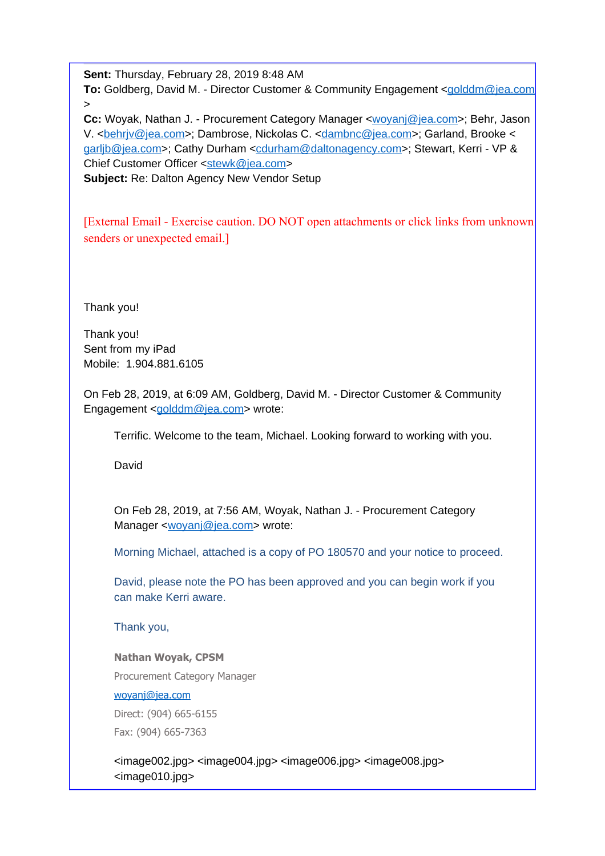**Sent:** Thursday, February 28, 2019 8:48 AM

**To:** Goldberg, David M. - Director Customer & Community Engagement [<golddm@jea.com](mailto:golddm@jea.com) >

**Cc:** Woyak, Nathan J. - Procurement Category Manager [<woyanj@jea.com](mailto:woyanj@jea.com)>; Behr, Jason V. [<behrjv@jea.com>](mailto:behrjv@jea.com); Dambrose, Nickolas C. [<dambnc@jea.com](mailto:dambnc@jea.com)>; Garland, Brooke < [garljb@jea.com>](mailto:garljb@jea.com); Cathy Durham <[cdurham@daltonagency.com>](mailto:cdurham@daltonagency.com); Stewart, Kerri - VP & Chief Customer Officer <[stewk@jea.com](mailto:stewk@jea.com)> **Subject:** Re: Dalton Agency New Vendor Setup

[External Email - Exercise caution. DO NOT open attachments or click links from unknown senders or unexpected email.]

Thank you!

Thank you! Sent from my iPad Mobile: 1.904.881.6105

On Feb 28, 2019, at 6:09 AM, Goldberg, David M. - Director Customer & Community Engagement [<golddm@jea.com>](mailto:golddm@jea.com) wrote:

Terrific. Welcome to the team, Michael. Looking forward to working with you.

David

On Feb 28, 2019, at 7:56 AM, Woyak, Nathan J. - Procurement Category Manager [<woyanj@jea.com](mailto:woyanj@jea.com)> wrote:

Morning Michael, attached is a copy of PO 180570 and your notice to proceed.

David, please note the PO has been approved and you can begin work if you can make Kerri aware.

Thank you,

## **Nathan Woyak, CPSM**

Procurement Category Manager

[woyanj@jea.com](mailto:woyanj@jea.com)

Direct: (904) 665-6155 Fax: (904) 665-7363

<image002.jpg> <image004.jpg> <image006.jpg> <image008.jpg> <image010.jpg>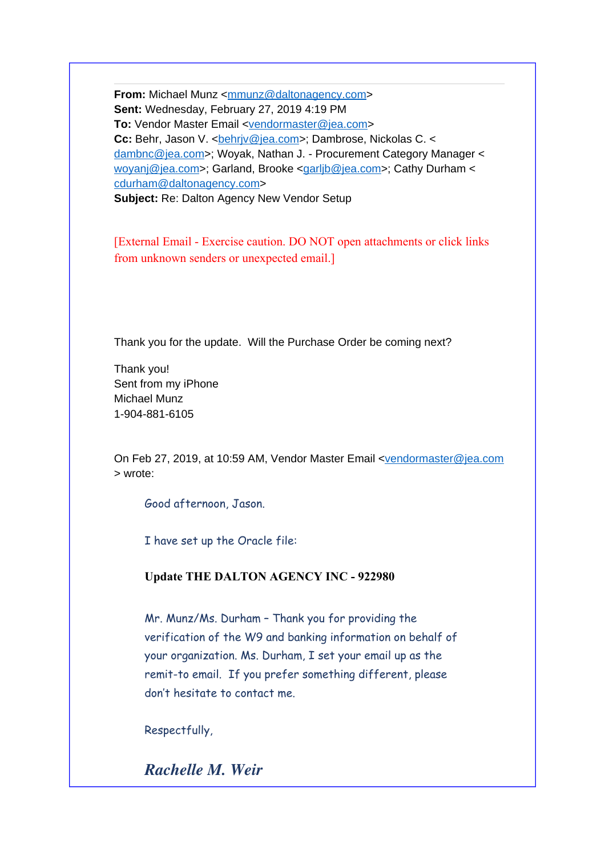**From:** Michael Munz < $\frac{mmunz@daltonagency.com>}{mmmu}$  $\frac{mmunz@daltonagency.com>}{mmmu}$  $\frac{mmunz@daltonagency.com>}{mmmu}$ **Sent:** Wednesday, February 27, 2019 4:19 PM **To:** Vendor Master Email <[vendormaster@jea.com>](mailto:vendormaster@jea.com) **Cc:** Behr, Jason V. < behriv@jea.com>; Dambrose, Nickolas C. < [dambnc@jea.com](mailto:dambnc@jea.com)>; Woyak, Nathan J. - Procurement Category Manager < [woyanj@jea.com](mailto:woyanj@jea.com)>; Garland, Brooke [<garljb@jea.com>](mailto:garljb@jea.com); Cathy Durham < [cdurham@daltonagency.com](mailto:cdurham@daltonagency.com)>

**Subject:** Re: Dalton Agency New Vendor Setup

[External Email - Exercise caution. DO NOT open attachments or click links from unknown senders or unexpected email.]

Thank you for the update. Will the Purchase Order be coming next?

Thank you! Sent from my iPhone Michael Munz 1-904-881-6105

On Feb 27, 2019, at 10:59 AM, Vendor Master Email <[vendormaster@jea.com](mailto:vendormaster@jea.com) > wrote:

Good afternoon, Jason.

I have set up the Oracle file:

**Update THE DALTON AGENCY INC - 922980**

Mr. Munz/Ms. Durham – Thank you for providing the verification of the W9 and banking information on behalf of your organization. Ms. Durham, I set your email up as the remit-to email. If you prefer something different, please don't hesitate to contact me.

Respectfully,

*Rachelle M. Weir*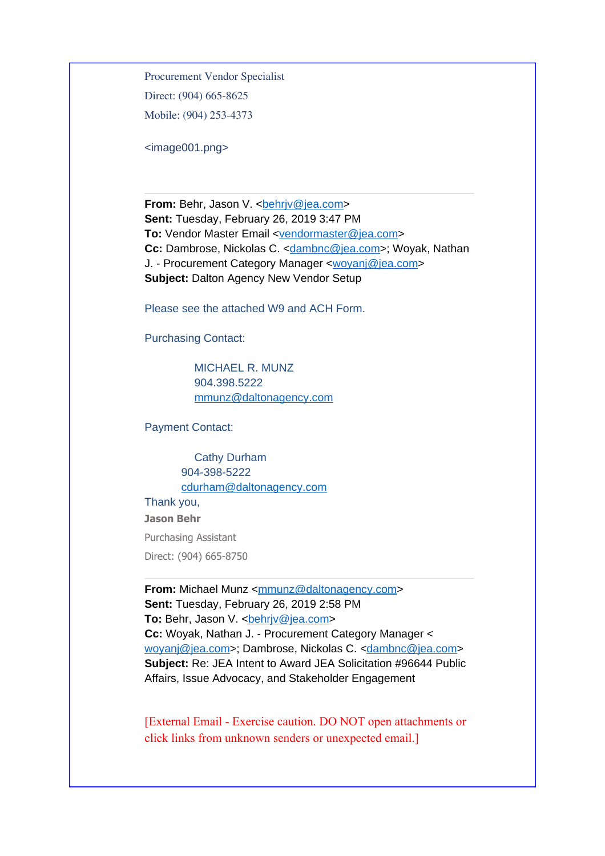Procurement Vendor Specialist Direct: (904) 665-8625 Mobile: (904) 253-4373

<image001.png>

**From:** Behr, Jason V. < behriv@jea.com> **Sent:** Tuesday, February 26, 2019 3:47 PM **To:** Vendor Master Email <[vendormaster@jea.com>](mailto:vendormaster@jea.com) **Cc:** Dambrose, Nickolas C. <[dambnc@jea.com>](mailto:dambnc@jea.com); Woyak, Nathan J. - Procurement Category Manager [<woyanj@jea.com](mailto:woyanj@jea.com)> **Subject:** Dalton Agency New Vendor Setup

Please see the attached W9 and ACH Form.

Purchasing Contact:

 MICHAEL R. MUNZ 904.398.5222 [mmunz@daltonagency.com](mailto:mmunz@daltonagency.com)

Payment Contact:

 Cathy Durham 904-398-5222 [cdurham@daltonagency.com](mailto:cdurham@daltonagency.com)

#### Thank you,

**Jason Behr**

Purchasing Assistant Direct: (904) 665-8750

**From:** Michael Munz <[mmunz@daltonagency.com](mailto:mmunz@daltonagency.com)> **Sent:** Tuesday, February 26, 2019 2:58 PM **To:** Behr, Jason V. < behriv@jea.com> **Cc:** Woyak, Nathan J. - Procurement Category Manager < [woyanj@jea.com](mailto:woyanj@jea.com)>; Dambrose, Nickolas C. <[dambnc@jea.com](mailto:dambnc@jea.com)> **Subject:** Re: JEA Intent to Award JEA Solicitation #96644 Public Affairs, Issue Advocacy, and Stakeholder Engagement

[External Email - Exercise caution. DO NOT open attachments or click links from unknown senders or unexpected email.]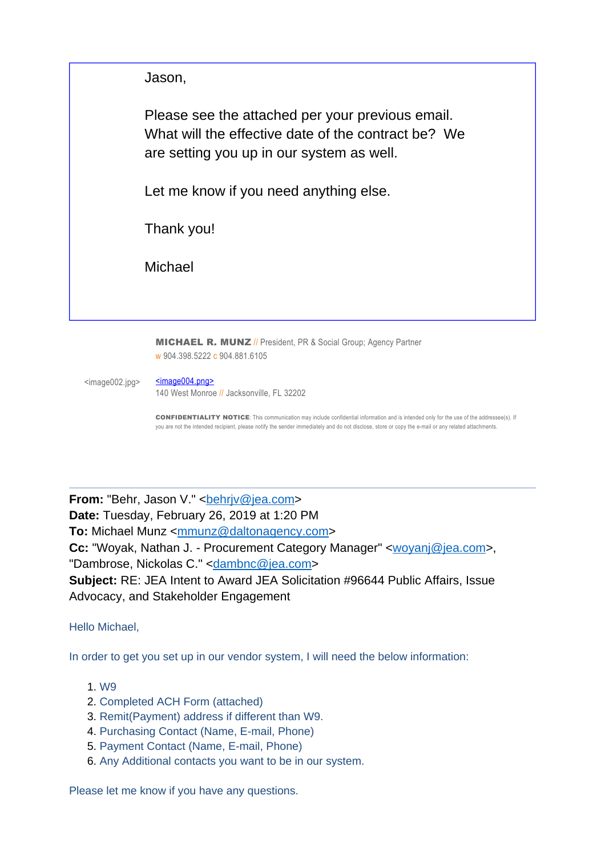Jason,

Please see the attached per your previous email. What will the effective date of the contract be? We are setting you up in our system as well.

Let me know if you need anything else.

Thank you!

Michael

**MICHAEL R. MUNZ** // President, PR & Social Group; Agency Partner w 904.398.5222 c 904.881.6105

<image002.jpg> [<image004.png>](https://urldefense.proofpoint.com/v2/url?u=http-3A__www.daltonagency.com_&d=DwMGaQ&c=c0bxDqEgwAsdU6tOGkHaIQ&r=zvlWb_94tqM_qglaz2hnfA&m=LC_dx8ubMzWngnlK43pMnoGORZAD6kYqYoSFCLRo3e8&s=I4m0rmhrMVH4Eki9M7_ktBxUpB10jclSqv1vSvxPxIQ&e=) 140 West Monroe // Jacksonville, FL 32202

**CONFIDENTIALITY NOTICE**: This communication may include confidential information and is intended only for the use of the addressee(s). If

you are not the intended recipient, please notify the sender immediately and do not disclose, store or copy the e-mail or any related attachments.

**From:** "Behr, Jason V." < behriv@jea.com> **Date:** Tuesday, February 26, 2019 at 1:20 PM To: Michael Munz [<mmunz@daltonagency.com](mailto:mmunz@daltonagency.com)> **Cc:** "Woyak, Nathan J. - Procurement Category Manager" [<woyanj@jea.com>](mailto:woyanj@jea.com), "Dambrose, Nickolas C." <[dambnc@jea.com](mailto:dambnc@jea.com)> **Subject:** RE: JEA Intent to Award JEA Solicitation #96644 Public Affairs, Issue Advocacy, and Stakeholder Engagement

Hello Michael,

In order to get you set up in our vendor system, I will need the below information:

- 1. W9
- 2. Completed ACH Form (attached)
- 3. Remit(Payment) address if different than W9.
- 4. Purchasing Contact (Name, E-mail, Phone)
- 5. Payment Contact (Name, E-mail, Phone)
- 6. Any Additional contacts you want to be in our system.

Please let me know if you have any questions.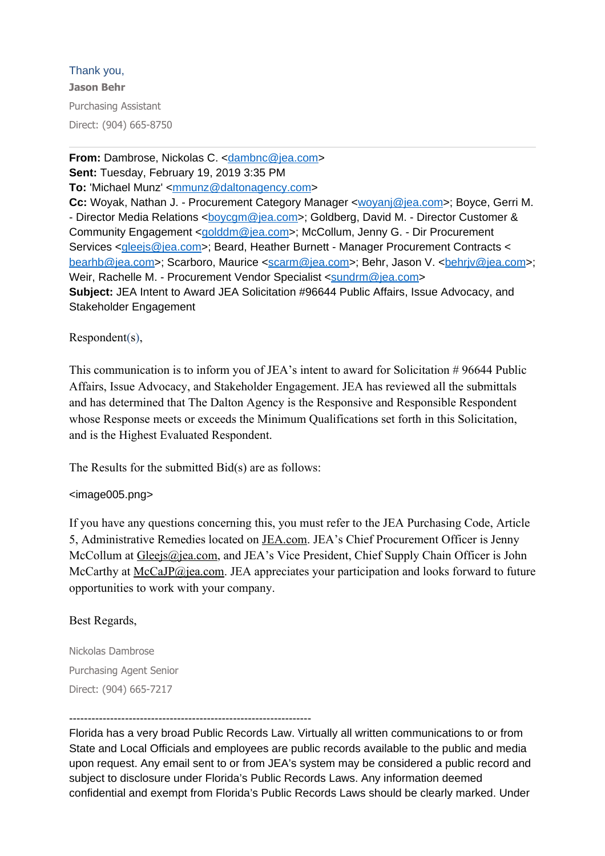# Thank you,

**Jason Behr** Purchasing Assistant Direct: (904) 665-8750

**From:** Dambrose, Nickolas C. [<dambnc@jea.com>](mailto:dambnc@jea.com) **Sent:** Tuesday, February 19, 2019 3:35 PM **To:** 'Michael Munz' <[mmunz@daltonagency.com](mailto:mmunz@daltonagency.com)> **Cc:** Woyak, Nathan J. - Procurement Category Manager <[woyanj@jea.com>](mailto:woyanj@jea.com); Boyce, Gerri M. - Director Media Relations <[boycgm@jea.com>](mailto:boycgm@jea.com); Goldberg, David M. - Director Customer & Community Engagement <[golddm@jea.com](mailto:golddm@jea.com)>; McCollum, Jenny G. - Dir Procurement Services <[gleejs@jea.com](mailto:gleejs@jea.com)>; Beard, Heather Burnett - Manager Procurement Contracts < [bearhb@jea.com>](mailto:bearhb@jea.com); Scarboro, Maurice <[scarm@jea.com](mailto:scarm@jea.com)>; Behr, Jason V. <br/>[behrjv@jea.com](mailto:behrjv@jea.com)>; Weir, Rachelle M. - Procurement Vendor Specialist <[sundrm@jea.com](mailto:sundrm@jea.com)> **Subject:** JEA Intent to Award JEA Solicitation #96644 Public Affairs, Issue Advocacy, and Stakeholder Engagement

Respondent(s),

This communication is to inform you of JEA's intent to award for Solicitation # 96644 Public Affairs, Issue Advocacy, and Stakeholder Engagement. JEA has reviewed all the submittals and has determined that The Dalton Agency is the Responsive and Responsible Respondent whose Response meets or exceeds the Minimum Qualifications set forth in this Solicitation, and is the Highest Evaluated Respondent.

The Results for the submitted Bid(s) are as follows:

# <image005.png>

If you have any questions concerning this, you must refer to the JEA Purchasing Code, Article 5, Administrative Remedies located on [JEA.com](https://urldefense.proofpoint.com/v2/url?u=http-3A__JEA.com&d=DwMGaQ&c=c0bxDqEgwAsdU6tOGkHaIQ&r=tG28xWn0PD7YKCSH0RV8cw&m=W72lfHVF6nuiYO0HoNuB0gAoETWGMk4Np2_jM7oYfmk&s=nWBuiBNzpYjWFiPY0XqnFi8gP6MS00sevjRHLik18Bc&e=). JEA's Chief Procurement Officer is Jenny McCollum at [Gleejs@jea.com,](mailto:Gleejs@jea.com) and JEA's Vice President, Chief Supply Chain Officer is John McCarthy at [McCaJP@jea.com.](mailto:McCaJP@jea.com) JEA appreciates your participation and looks forward to future opportunities to work with your company.

## Best Regards,

Nickolas Dambrose Purchasing Agent Senior Direct: (904) 665-7217

-----------------------------------------------------------------

Florida has a very broad Public Records Law. Virtually all written communications to or from State and Local Officials and employees are public records available to the public and media upon request. Any email sent to or from JEA's system may be considered a public record and subject to disclosure under Florida's Public Records Laws. Any information deemed confidential and exempt from Florida's Public Records Laws should be clearly marked. Under